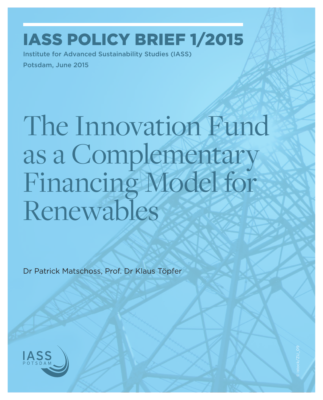## IASS Policy Brief 1/2015

Institute for Advanced Sustainability Studies (IASS) Potsdam, June 2015

# The Innovation Fund as a Complementary Financing Model for Renewables

Dr Patrick Matschoss, Prof. Dr Klaus Töpfer

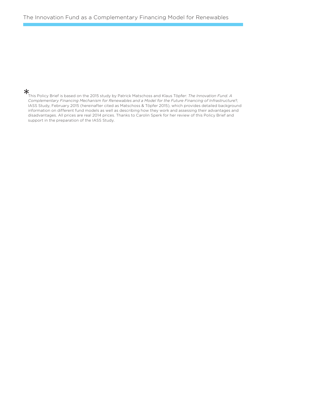This Policy Brief is based on the 2015 study by Patrick Matschoss and Klaus Töpfer: *The Innovation Fund. A Complementary Financing Mechanism for Renewables and a Model for the Future Financing of Infrastructure*?, IASS Study, February 2015 (hereinafter cited as Matschoss & Töpfer 2015), which provides detailed background information on different fund models as well as describing how they work and assessing their advantages and disadvantages. All prices are real 2014 prices. Thanks to Carolin Sperk for her review of this Policy Brief and support in the preparation of the IASS Study.  $*$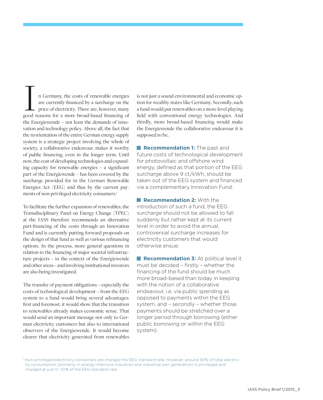n Germany, the costs of renewable energies are currently financed by a surcharge on the price of electricity. There are, however, many In Germany, the costs of renewable energies<br>are currently financed by a surcharge on the<br>price of electricity. There are, however, many<br>good reasons for a more broad-based financing of the Energiewende – not least the demands of innovation and technology policy. Above all, the fact that the reorientation of the entire German energy supply system is a strategic project involving the whole of society, a collaborative endeavour, makes it worthy of public financing, even in the longer term. Until now, the cost of developing technologies and expanding capacity for renewable energies – a significant part of the Energiewende – has been covered by the surcharge provided for in the German Renewable Energies Act (EEG) and thus by the current payments of non-privileged electricity consumers.<sup>1</sup>

To facilitate the further expansion of renewables, the Transdisciplinary Panel on Energy Change (TPEC) at the IASS therefore recommends an alternative part-financing of the costs through an Innovation Fund and is currently putting forward proposals on the design of that fund as well as various refinancing options. In the process, more general questions in relation to the financing of major societal infrastructure projects – in the context of the Energiewende and other areas – and involving institutional investors are also being investigated.

The transfer of payment obligations – especially the costs of technological development – from the EEG system to a fund would bring several advantages: first and foremost, it would show that the transition to renewables already makes economic sense. That would send an important message not only to German electricity customers but also to international observers of the Energiewende. It would become clearer that electricity generated from renewables

is not just a sound environmental and economic option for wealthy states like Germany. Secondly, such a fund would put renewables on a more level playing field with conventional energy technologies. And thirdly, more broad-based financing would make the Energiewende the collaborative endeavour it is supposed to be.

**Recommendation 1:** The past and future costs of technological development for photovoltaic and offshore wind energy, defined as that portion of the EEG surcharge above 9 ct/kWh, should be taken out of the EEG system and financed via a complementary Innovation Fund.

**Recommendation 2: With the** introduction of such a fund, the EEG surcharge should not be allowed to fall suddenly but rather kept at its current level in order to avoid the annual, controversial surcharge increases for electricity customers that would otherwise ensue.

**Recommendation 3:** At political level it must be decided – firstly – whether the financing of the fund should be much more broad-based than today in keeping with the notion of a collaborative endeavour, i.e. via public spending as opposed to payments within the EEG system, and – secondly – whether those payments should be stretched over a longer period through borrowing (either public borrowing or within the EEG system).

1 Non-privileged electricity consumers are charged the EEG standard rate. However, around 30% of total electric ity consumption (primarily in energy-intensive industries and industrial own generation) is privileged and charged at just 0–10% of the EEG standard rate.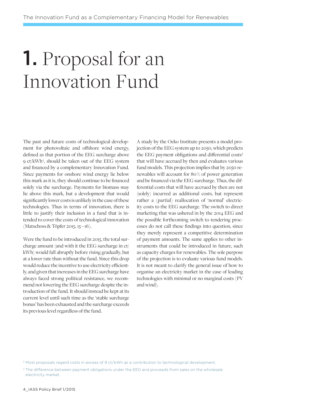# 1. Proposal for an Innovation Fund

The past and future costs of technological development for photovoltaic and offshore wind energy, defined as that portion of the EEG surcharge above 9 ct/kWh2 , should be taken out of the EEG system and financed by a complementary Innovation Fund. Since payments for onshore wind energy lie below this mark as it is, they should continue to be financed solely via the surcharge. Payments for biomass may lie above this mark, but a development that would significantly lower costs is unlikely in the case of these technologies. Thus in terms of innovation, there is little to justify their inclusion in a fund that is intended to cover the costs of technological innovation (Matschoss & Töpfer 2015, 15 – 16).

Were the fund to be introduced in 2015, the total surcharge amount (and with it the EEG surcharge in ct/ kWh) would fall abruptly before rising gradually, but at a lower rate than without the fund. Since this drop would reduce the incentive to use electricity efficiently, and given that increases in the EEG surcharge have always faced strong political resistance, we recommend not lowering the EEG surcharge despite the introduction of the fund. It should instead be kept at its current level until such time as the 'stable surcharge bonus' has been exhausted and the surcharge exceeds its previous level regardless of the fund.

A study by the Oeko Institute presents a model projection of the EEG system up to 2050, which predicts the EEG payment obligations and differential costs<sup>3</sup> that will have accrued by then and evaluates various fund models. This projection implies that by 2050 renewables will account for 80 % of power generation and be financed via the EEG surcharge. Thus, the differential costs that will have accrued by then are not (solely) incurred as additional costs, but represent rather a (partial) reallocation of 'normal' electricity costs to the EEG surcharge. The switch to direct marketing that was ushered in by the 2014 EEG and the possible forthcoming switch to tendering processes do not call these findings into question, since they merely represent a competitive determination of payment amounts. The same applies to other instruments that could be introduced in future, such as capacity charges for renewables. The sole purpose of the projection is to evaluate various fund models. It is not meant to clarify the general issue of how to organise an electricity market in the case of leading technologies with minimal or no marginal costs (PV and wind).

<sup>&</sup>lt;sup>2</sup> Most proposals regard costs in excess of 9 ct/kWh as a contribution to technological development.

<sup>&</sup>lt;sup>3</sup> The difference between payment obligations under the EEG and proceeds from sales on the wholesale electricity market.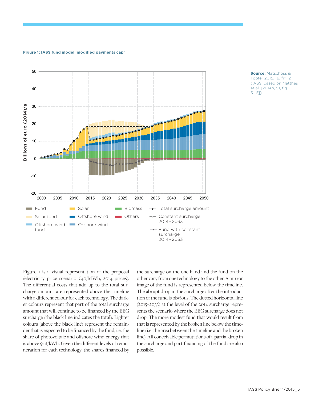### **Figure 1: IASS fund model 'modified payments cap'**



**Source:** Matschoss & Töpfer 2015, 16, fig. 2 (IASS, based on Matthes et al. [2014b, 51, fig. 5–6])

Figure 1 is a visual representation of the proposal (electricity price scenario €40/MWh, 2014 prices). The differential costs that add up to the total surcharge amount are represented above the timeline with a different colour for each technology. The darker colours represent that part of the total surcharge amount that will continue to be financed by the EEG surcharge (the black line indicates the total). Lighter colours (above the black line) represent the remainder that is expected to be financed by the fund, i.e. the share of photovoltaic and offshore wind energy that is above 9 ct/kWh. Given the different levels of remuneration for each technology, the shares financed by

the surcharge on the one hand and the fund on the other vary from one technology to the other. A mirror image of the fund is represented below the timeline. The abrupt drop in the surcharge after the introduction of the fund is obvious. The dotted horizontal line (2015–2033) at the level of the 2014 surcharge represents the scenario where the EEG surcharge does not drop. The more modest fund that would result from that is represented by the broken line below the timeline (i.e. the area between the timeline and the broken line). All conceivable permutations of a partial drop in the surcharge and part-financing of the fund are also possible.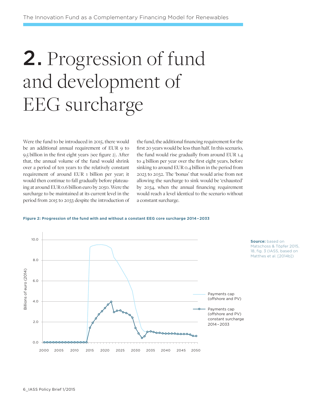# 2. Progression of fund and development of EEG surcharge

Were the fund to be introduced in 2015, there would be an additional annual requirement of EUR 9 to 9.5 billion in the first eight years (see figure 2). After that, the annual volume of the fund would shrink over a period of ten years to the relatively constant requirement of around EUR 1 billion per year; it would then continue to fall gradually before plateauing at around EUR 0.6 billion euro by 2050. Were the surcharge to be maintained at its current level in the period from 2015 to 2033 despite the introduction of the fund, the additional financing requirement for the first 20 years would be less than half. In this scenario, the fund would rise gradually from around EUR 1.4 to 4 billion per year over the first eight years, before sinking to around EUR 0.4 billion in the period from 2023 to 2032. The 'bonus' that would arise from not allowing the surcharge to sink would be 'exhausted' by 2034, when the annual financing requirement would reach a level identical to the scenario without a constant surcharge.

#### **Figure 2: Progression of the fund with and without a constant EEG core surcharge 2014 – 2033**

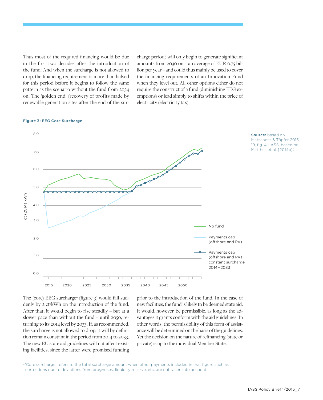Thus most of the required financing would be due in the first two decades after the introduction of the fund. And when the surcharge is not allowed to drop, the financing requirement is more than halved for this period before it begins to follow the same pattern as the scenario without the fund from 2034 on. The 'golden end' (recovery of profits made by renewable generation sites after the end of the surcharge period) will only begin to generate significant amounts from 2030 on – an average of EUR 0.75 billion per year – and could thus mainly be used to cover the financing requirements of an Innovation Fund when they level out. All other options either do not require the construct of a fund (diminishing EEG exemptions) or lead simply to shifts within the price of electricity (electricity tax).

### 8.0 **Source:** based on Matschoss & Töpfer 2015, 19, fig. 4 (IASS, based on Matthes et al. [2014b]) 7.0. 6.0 5.0 ct (2014) kWh ct (2014) kWh 4.0 . 3.0 No fundPayments cap 2.0 (offshore and PV) Payments cap 1.0 (offshore and PV) constant surcharge 2014 – 2033 0.0 2015 2020 2025 2030 2035 2040 2045 2050

#### **Figure 3: EEG Core Surcharge**

The (core) EEG surcharge4 (figure 3) would fall suddenly by 2 ct/kWh on the introduction of the fund. After that, it would begin to rise steadily – but at a slower pace than without the fund – until 2050, returning to its 2014 level by 2033. If, as recommended, the surcharge is not allowed to drop, it will by definition remain constant in the period from 2014 to 2033. The new EU state aid guidelines will not affect existing facilities, since the latter were promised funding prior to the introduction of the fund. In the case of new facilities, the fund is likely to be deemed state aid. It would, however, be permissible, as long as the advantages it grants conform with the aid guidelines. In other words, the permissibility of this form of assistance will be determined on the basis of the guidelines. Yet the decision on the nature of refinancing (state or private) is up to the individual Member State.

4 'Core surcharge' refers to the total surcharge amount when other payments included in that figure such as corrections due to deviations from prognoses, liquidity reserve, etc. are not taken into account.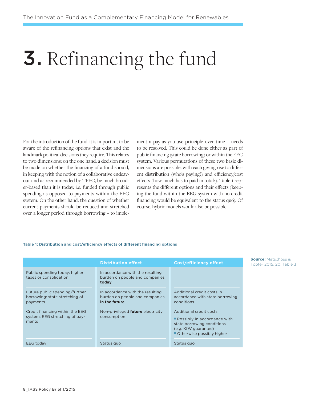# 3. Refinancing the fund

For the introduction of the fund, it is important to be aware of the refinancing options that exist and the landmark political decisions they require. This relates to two dimensions: on the one hand, a decision must be made on whether the financing of a fund should, in keeping with the notion of a collaborative endeavour and as recommended by TPEC, be much broader-based than it is today, i.e. funded through public spending as opposed to payments within the EEG system. On the other hand, the question of whether current payments should be reduced and stretched over a longer period through borrowing – to implement a pay-as-you-use principle over time – needs to be resolved. This could be done either as part of public financing (state borrowing) or within the EEG system. Various permutations of these two basic dimensions are possible, with each giving rise to different distribution (who's paying?) and efficiency/cost effects (how much has to paid in total?). Table 1 represents the different options and their effects (keeping the fund within the EEG system with no credit financing would be equivalent to the status quo). Of course, hybrid models would also be possible.

#### **Table 1: Distribution and cost/efficiency effects of different financing options**

|                                                                              | <b>Distribution effect</b>                                                          | <b>Cost/efficiency effect</b>                                                                                                             |
|------------------------------------------------------------------------------|-------------------------------------------------------------------------------------|-------------------------------------------------------------------------------------------------------------------------------------------|
| Public spending today: higher<br>taxes or consolidation                      | In accordance with the resulting<br>burden on people and companies<br>today         |                                                                                                                                           |
| Future public spending/further<br>borrowing: state stretching of<br>payments | In accordance with the resulting<br>burden on people and companies<br>in the future | Additional credit costs in<br>accordance with state borrowing<br>conditions                                                               |
| Credit financing within the EEG<br>system: EEG stretching of pay-<br>ments   | Non-privileged future electricity<br>consumption                                    | Additional credit costs<br>Possibly in accordance with<br>state borrowing conditions<br>(e.g. KfW guarantee)<br>Otherwise possibly higher |
| <b>EEG</b> today                                                             | Status quo                                                                          | Status quo                                                                                                                                |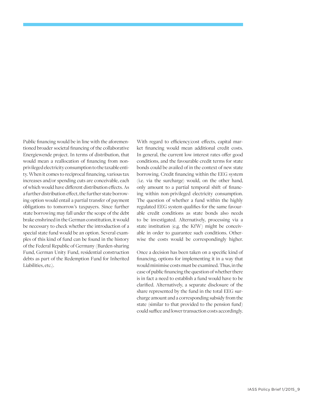Public financing would be in line with the aforementioned broader societal financing of the collaborative Energiewende project. In terms of distribution, that would mean a reallocation of financing from nonprivileged electricity consumption to the taxable entity. When it comes to reciprocal financing, various tax increases and/or spending cuts are conceivable, each of which would have different distribution effects. As a further distribution effect, the further state borrowing option would entail a partial transfer of payment obligations to tomorrow's taxpayers. Since further state borrowing may fall under the scope of the debt brake enshrined in the German constitution, it would be necessary to check whether the introduction of a special state fund would be an option. Several examples of this kind of fund can be found in the history of the Federal Republic of Germany (Burden-sharing Fund, German Unity Fund, residential construction debts as part of the Redemption Fund for Inherited Liabilities, etc.).

With regard to efficiency/cost effects, capital market financing would mean additional credit costs. In general, the current low interest rates offer good conditions, and the favourable credit terms for state bonds could be availed of in the context of new state borrowing. Credit financing within the EEG system (i.e. via the surcharge) would, on the other hand, only amount to a partial temporal shift of financing within non-privileged electricity consumption. The question of whether a fund within the highly regulated EEG system qualifies for the same favourable credit conditions as state bonds also needs to be investigated. Alternatively, processing via a state institution (e.g. the KfW) might be conceivable in order to guarantee such conditions. Otherwise the costs would be correspondingly higher.

Once a decision has been taken on a specific kind of financing, options for implementing it in a way that would minimise costs must be examined. Thus, in the case of public financing the question of whether there is in fact a need to establish a fund would have to be clarified. Alternatively, a separate disclosure of the share represented by the fund in the total EEG surcharge amount and a corresponding subsidy from the state (similar to that provided to the pension fund) could suffice and lower transaction costs accordingly.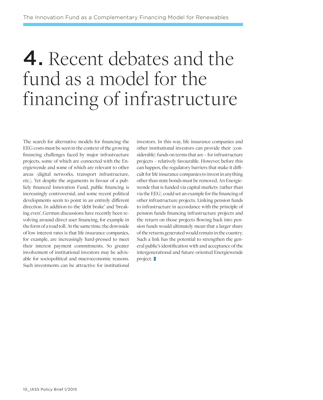# 4. Recent debates and the fund as a model for the financing of infrastructure

The search for alternative models for financing the EEG costs must be seen in the context of the growing financing challenges faced by major infrastructure projects, some of which are connected with the Energiewende and some of which are relevant to other areas (digital networks, transport infrastructure, etc.). Yet despite the arguments in favour of a publicly financed Innovation Fund, public financing is increasingly controversial, and some recent political developments seem to point in an entirely different direction. In addition to the 'debt brake' and 'breaking even', German discussions have recently been revolving around direct user financing, for example in the form of a road toll. At the same time, the downside of low interest rates is that life insurance companies, for example, are increasingly hard-pressed to meet their interest payment commitments. So greater involvement of institutional investors may be advisable for sociopolitical and macroeconomic reasons. Such investments can be attractive for institutional

investors. In this way, life insurance companies and other institutional investors can provide their (considerable) funds on terms that are – for infrastructure projects – relatively favourable. However, before this can happen, the regulatory barriers that make it difficult for life insurance companies to invest in anything other than state bonds must be removed. An Energiewende that is funded via capital markets (rather than via the EEG) could set an example for the financing of other infrastructure projects. Linking pension funds to infrastructure in accordance with the principle of pension funds financing infrastructure projects and the return on those projects flowing back into pension funds would ultimately mean that a larger share of the returns generated would remain in the country. Such a link has the potential to strengthen the general public's identification with and acceptance of the intergenerational and future-oriented Energiewende project.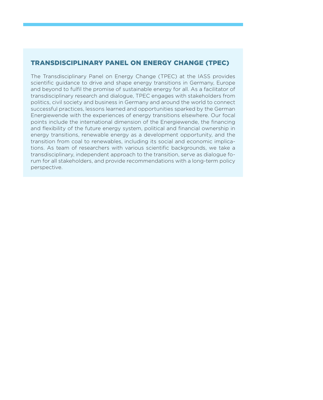### Transdisciplinary Panel on Energy Change (TPEC)

The Transdisciplinary Panel on Energy Change (TPEC) at the IASS provides scientific guidance to drive and shape energy transitions in Germany, Europe and beyond to fulfil the promise of sustainable energy for all. As a facilitator of transdisciplinary research and dialogue, TPEC engages with stakeholders from politics, civil society and business in Germany and around the world to connect successful practices, lessons learned and opportunities sparked by the German Energiewende with the experiences of energy transitions elsewhere. Our focal points include the international dimension of the Energiewende, the financing and flexibility of the future energy system, political and financial ownership in energy transitions, renewable energy as a development opportunity, and the transition from coal to renewables, including its social and economic implications. As team of researchers with various scientific backgrounds, we take a transdisciplinary, independent approach to the transition, serve as dialogue forum for all stakeholders, and provide recommendations with a long-term policy perspective.